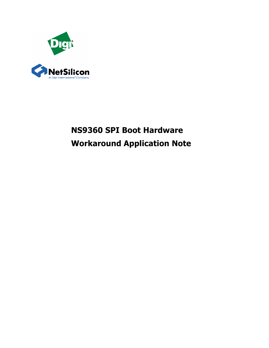

# **NS9360 SPI Boot Hardware Workaround Application Note**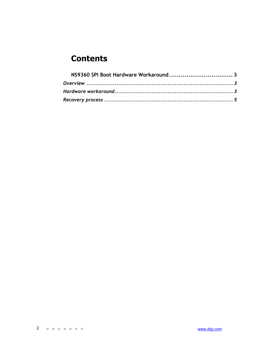## **Contents**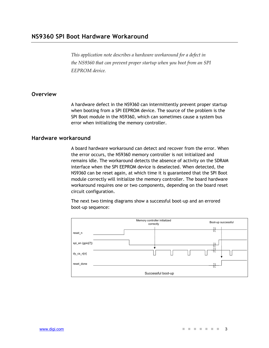*This application note describes a hardware workaround for a defect in the NS9360 that can prevent proper startup when you boot from an SPI EEPROM device.* 

#### **Overview**

A hardware defect in the NS9360 can intermittently prevent proper startup when booting from a SPI EEPROM device. The source of the problem is the SPI Boot module in the NS9360, which can sometimes cause a system bus error when initializing the memory controller.

#### **Hardware workaround**

A board hardware workaround can detect and recover from the error. When the error occurs, the NS9360 memory controller is not initialized and remains idle. The workaround detects the absence of activity on the SDRAM interface when the SPI EEPROM device is deselected. When detected, the NS9360 can be reset again, at which time it is guaranteed that the SPI Boot module correctly will initialize the memory controller. The board hardware workaround requires one or two components, depending on the board reset circuit configuration.

The next two timing diagrams show a successful boot-up and an errored boot-up sequence:

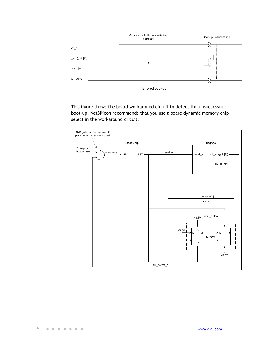

This figure shows the board workaround circuit to detect the unsuccessful boot-up. NetSilicon recommends that you use a spare dynamic memory chip select in the workaround circuit.